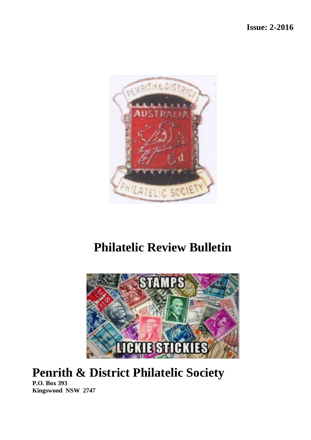

# **Philatelic Review Bulletin**



# **Penrith & District Philatelic Society**

**P.O. Box 393 Kingswood NSW 2747**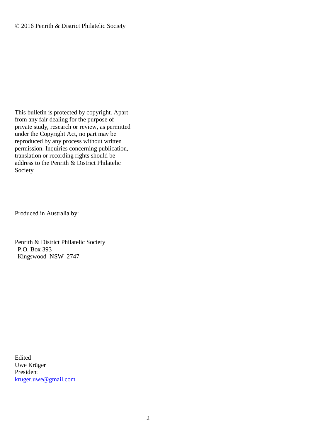This bulletin is protected by copyright. Apart from any fair dealing for the purpose of private study, research or review, as permitted under the Copyright Act, no part may be reproduced by any process without written permission. Inquiries concerning publication, translation or recording rights should be address to the Penrith & District Philatelic Society

Produced in Australia by:

Penrith & District Philatelic Society P.O. Box 393 Kingswood NSW 2747

Edited Uwe Krüger President [kruger.uwe@gmail.com](mailto:kruger.uwe@gmail.com)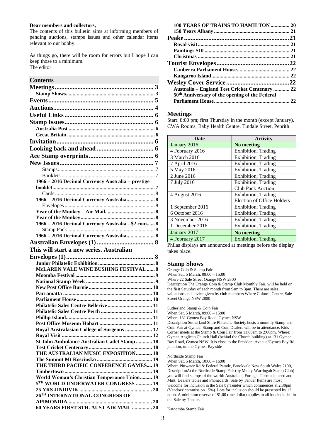#### **Dear members and collectors,**

The contents of this bulletin aims at informing members of pending auctions, stamps issues and other calendar items relevant to our hobby.

As things go, there will be room for errors but I hope I can keep those to a minimum. The editor

#### **Contents**

| 1966 - 2016 Decimal Currency Australia - prestige   |  |
|-----------------------------------------------------|--|
|                                                     |  |
|                                                     |  |
| 1966 - 2016 Decimal Currency Australia 8            |  |
|                                                     |  |
|                                                     |  |
| 1966 - 2016 Decimal Currency Australia - \$2 coin 8 |  |
|                                                     |  |
| 1966 - 2016 Decimal Currency Australia 8            |  |
|                                                     |  |
| This will start a new series. Australian            |  |
|                                                     |  |
|                                                     |  |
|                                                     |  |
|                                                     |  |
| <b>McLAREN VALE WINE BUSHING FESTIVAL  8</b>        |  |
|                                                     |  |
|                                                     |  |
|                                                     |  |
|                                                     |  |
|                                                     |  |
|                                                     |  |
| Phillip Island                                      |  |
|                                                     |  |
| Royal Australasian College of Surgeons  12          |  |
|                                                     |  |
| St John Ambulance Australian Cadet Stamp 18         |  |
|                                                     |  |
| THE AUSTRALIAN MUSIC EXPOSITION 18                  |  |
| THE THIRD PACIFIC CONFERENCE GAMES 19               |  |
|                                                     |  |
| World Woman's Christian Temperance Union 19         |  |
| 5TH WORLD UNDERWATER CONGRESS  19                   |  |
|                                                     |  |
| 26TH INTERNATIONAL CONGRESS OF                      |  |
| 60 YEARS FIRST STH. AUST AIR MAIL 20                |  |

| 100 YEARS OF TRAINS TO HAMILTON  20                        |  |
|------------------------------------------------------------|--|
|                                                            |  |
|                                                            |  |
|                                                            |  |
|                                                            |  |
|                                                            |  |
|                                                            |  |
|                                                            |  |
|                                                            |  |
|                                                            |  |
| <b>Australia – England Test Cricket Centenary  22</b>      |  |
| 50 <sup>th</sup> Anniversary of the opening of the Federal |  |
|                                                            |  |

#### <span id="page-2-0"></span>**Meetings**

Start: 8:00 pm; first Thursday in the month (except January). CWA Rooms, Baby Health Centre, Tindale Street, Penrith

| Date             | <b>Activity</b>                   |
|------------------|-----------------------------------|
| January 2016     | No meeting                        |
| 4 February 2016  | Exhibition; Trading               |
| 3 March 2016     | Exhibition; Trading               |
| 7 April 2016     | Exhibition; Trading               |
| 5 May 2016       | Exhibition; Trading               |
| 2 June 2016      | <b>Exhibition</b> ; Trading       |
| 7 July 2016      | Exhibition; Trading               |
|                  | <b>Club Pack Auction</b>          |
| 4 August 2016    | <b>Exhibition</b> ; Trading       |
|                  | <b>Election of Office Holders</b> |
| 1 September 2016 | <b>Exhibition</b> ; Trading       |
| 6 October 2016   | Exhibition; Trading               |
| 3 November 2016  | <b>Exhibition</b> ; Trading       |
| 1 December 2016  | Exhibition; Trading               |
| January 2017     | No meeting                        |
| 4 February 2017  | <b>Exhibition</b> ; Trading       |

Philas displays are announced at meetings before the display takes place.

#### <span id="page-2-1"></span>**Stamp Shows**

Orange Coin & Stamp Fair When Sat, 5 March,  $0.09 \div 0.00 - 15 \div 0.00$ 

Where 22 Sale Street Orange NSW 2800

Description The Orange Coin & Stamp Club Monthly Fair, will be held on the first Saturday of each month from 9am to 3pm. There are sales, valuations and advice given by club members Where Cultural Centre, Sale Street Orange NSW 2800

Sutherland Stamp & Coin Fair When Sat, 5 March, 09:00 – 15:00 Where 131 Gymea Bay Road, Gymea NSW

Description Sutherland Shire Philatelic Society hosts a monthly Stamp and Coin Fair at Gymea. Stamp and Coin Dealers will be in attendance. Kids Corner meets at the Stamp & Coin Fair from 11:00am to 2:00pm. Where: Gymea Anglican Church Hall (behind the Church building) at 131 Gymea Bay Road, Gymea NSW. It is close to the President Avenue/Gymea Bay Rd junction, on the Gymea Bay side

Northside Stamp Fair

When Sat, 5 March, 10:00 – 16:00

Where Pittwater Rd & Federal Parade, Brookvale New South Wales 2100, DescriptionAt the Northside Stamp Fair (by Manly-Warringah Stamp Club) you will find stamps of the world: Australian, Foreign, Thematic, used and Mint. Dealers tables and Phonecards. Sale by Tender Items are most welcome for inclusion in the Sale by Tender which commences at 2:30pm (Vendors' commission 15%). Lots for inclusion should be presented by 12 noon. A minimum reserve of \$1.00 (one dollar) applies to all lots included in the Sale by Tender.

Katoomba Stamp Fair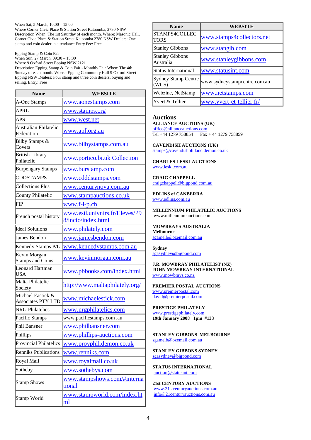#### When Sat, 5 March, 10:00 – 15:00

Where Corner Civic Place & Station Street Katoomba, 2780 NSW Description When: The 1st Saturday of each month. Where: Masonic Hall, Corner Civic Place & Station Street Katoomba 2780 NSW Dealers: One stamp and coin dealer in attendance Entry Fee: Free

Epping Stamp & Coin Fair

When Sun, 27 March, 09:30 – 15:30 Where 9 Oxford Street Epping NSW 2121

Description Epping Stamp & Coin Fair - Monthly Fair When: The 4th Sunday of each month. Where: Epping Community Hall 9 Oxford Street Epping NSW Dealers: Four stamp and three coin dealers, buying and selling. Entry: Free

| <b>Name</b>                                    | WEBSITE                                              |
|------------------------------------------------|------------------------------------------------------|
| A-One Stamps                                   | www.aonestamps.com                                   |
| <b>APRL</b>                                    | www.stamps.org                                       |
| <b>APS</b>                                     | www.west.net                                         |
| Australian Philatelic<br>Federation            | www.apf.org.au                                       |
| Bilby Stamps &<br>Covers                       | www.bilbystamps.com.au                               |
| <b>British Library</b><br>Philatelic           | www.portico.bi.uk Collection                         |
| <b>Burpengary Stamps</b>                       | www.burstamp.com                                     |
| <b>CDDSTAMPS</b>                               | www.cdddstamps.vom                                   |
| <b>Collections Plus</b>                        | www.centurynova.com.au                               |
| <b>County Philatelic</b>                       | www.stampauctions.co.uk                              |
| <b>FIP</b>                                     | www.f-i-p.ch                                         |
| French postal history                          | www.esil.univnirs.fr/Eleves/P9<br>8/incio/index.html |
| <b>Ideal Solutions</b>                         | www.philately.com                                    |
| James Bendon                                   | www.jamesbendon.com                                  |
| Kennedy Stamps P/L                             | www.kennedystamps.com.au                             |
| Kevin Morgan<br><b>Stamps and Coins</b>        | www.kevinmorgan.com.au                               |
| Leonard Hartman<br>USA                         | <u>www.pbbooks.com/index.html</u>                    |
| Malta Philatelic<br>Society                    | http://www.maltaphilately.org/                       |
| Michael Eastick &<br><b>Associates PTY LTD</b> | www.michaelestick.com                                |
| <b>NRG</b> Philatelics                         | www.nrgphilatelics.com                               |
| Pacific Stamps                                 | www.pacificstamps.com.au                             |
| Phil Bansner                                   | www.philbansner.com                                  |
| Phillips                                       | www.phillips-auctions.com                            |
| <b>Provincial Philatelics</b>                  | www.proyphil.demon.co.uk                             |
| <b>Renniks Publications</b>                    | www.renniks.com                                      |
| Royal Mail                                     | <u>www.royalmail.co.uk</u>                           |
| Sotheby                                        | www.sothebys.com                                     |
| <b>Stamp Shows</b>                             | www.stampshows.com/#interna<br>tional                |
| Stamp World                                    | www.stampworld.com/index.ht<br>ml                    |

| <b>Name</b>                         | <b>WEBSITE</b>               |
|-------------------------------------|------------------------------|
| STAMPS4COLLEC<br><b>TORS</b>        | www.stamps4collectors.net    |
| <b>Stanley Gibbons</b>              | www.stangib.com              |
| <b>Stanley Gibbons</b><br>Australia | www.stanleygibbons.com       |
| Status International                | www.statusint.com            |
| Sydney Stamp Centre<br>(WCS)        | www.sydneystampcentre.com.au |
| Webzine, NetStamp                   | www.netstamps.com            |
| lYvert & Tellier                    | www.yvert-et-tellier.fr/     |

#### <span id="page-3-0"></span>**Auctions ALLIANCE AUCTIONS (UK)**

[office@allianceauctions.com](mailto:office@allianceauctions.com)  Tel +44 1279 758854 Fax + 44 1279 758859

**CAVENDISH AUCTIONS (UK)** [stamps@cavendishphilauc.demon.co.uk](mailto:stamps@cavendishphilauc.demon.co.uk) 

**CHARLES LESKI AUCTIONS**  [www.leski.com.au](http://www.leski.com.au/) 

**CRAIG CHAPPELL**  [craigchappell@bigpond.com.au](mailto:craigchappell@bigpond.com.au) 

**EDLINS of CANBERRA** [www.edlins.com.au](http://www.edlins.com.au/) 

**MILLENNIUM PHILATELIC AUCTIONS**  [www.millenniumauctions.com](http://www.millenniumauctions.com/)

**MOWBRAYS AUSTRALIA Melbourne** [sgamelb@ozemail.com.au](mailto:sgamelb@ozemail.com.au) 

**Sydney** [sgasydney@bigpond.com](mailto:sgasydney@bigpond.com) 

**J.R. MOWBRAY PHILATELIST (NZ) JOHN MOWBRAY INTERNATIONAL**  [www.mowbrays.co.nz](http://www.mowbrays.co.nz/) 

**PREMIER POSTAL AUCTIONS** [www.premierpostal.com](http://www.premierpostal.com/)  [david@premierpostal.com](mailto:david@premierpostal.com) 

**PRESTIGE PHILATELY**  [www.prestigephilately.com](http://www.prestigephilately.com/) **19th January 2008 1pm #133**

**STANLEY GIBBONS MELBOURNE** [sgamelb@ozemail.com.au](mailto:sgamelb@ozemail.com.au) 

**STANLEY GIBBONS SYDNEY** [sgasydney@bigpond.com](mailto:sgasydney@bigpond.com) 

**STATUS INTERNATIONAL**  [auction@statusint.com](mailto:auction@statusint.com)

**21st CENTURY AUCTIONS**  [www.21stcenturyauctions.com.au](http://www.21stcenturyauctions.com.au/)  [info@21centuryauctions.com.au](mailto:info@21centuryauctions.com.au)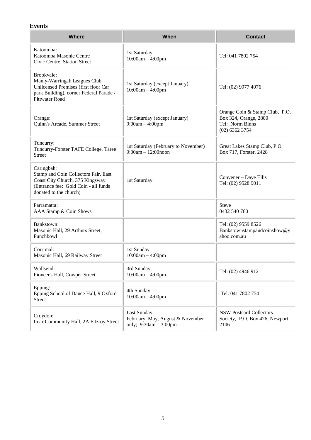#### <span id="page-4-0"></span>**Events**

| <b>Where</b>                                                                                                                                            | When                                                                       | <b>Contact</b>                                                                                 |
|---------------------------------------------------------------------------------------------------------------------------------------------------------|----------------------------------------------------------------------------|------------------------------------------------------------------------------------------------|
| Katoomba:<br>Katoomba Masonic Centre<br>Civic Centre, Station Street                                                                                    | 1st Saturday<br>$10:00am - 4:00pm$                                         | Tel: 041 7802 754                                                                              |
| Brookvale:<br>Manly-Warringah Leagues Club<br>Unlicensed Premises (first floor Car<br>park Building), corner Federal Parade /<br>Pittwater Road         | 1st Saturday (except January)<br>$10:00am - 4:00pm$                        | Tel: (02) 9977 4076                                                                            |
| Orange:<br>Quinn's Arcade, Summer Street                                                                                                                | 1st Saturday (except January)<br>$9:00am - 4:00pm$                         | Orange Coin & Stamp Club, P.O.<br>Box 324, Orange, 2800<br>Tel: Norm Binns<br>$(02)$ 6362 3754 |
| Tuncurry:<br>Tuncurry-Forster TAFE College, Taree<br><b>Street</b>                                                                                      | 1st Saturday (February to November)<br>$9:00am - 12:00n$ oon               | Great Lakes Stamp Club, P.O.<br>Box 717, Forster, 2428                                         |
| Caringbah:<br>Stamp and Coin Collectors Fair, East<br>Coast City Church, 375 Kingsway<br>(Entrance fee: Gold Coin - all funds<br>donated to the church) | 1st Saturday                                                               | Convener – Dave Ellis<br>Tel: (02) 9528 9011                                                   |
| Parramatta:<br>AAA Stamp & Coin Shows                                                                                                                   |                                                                            | <b>Steve</b><br>0432 540 760                                                                   |
| Bankstown:<br>Masonic Hall, 29 Arthurs Street,<br>Punchbowl                                                                                             |                                                                            | Tel: (02) 9559 8526<br>Bankstownstampandcoinshow@y<br>ahoo.com.au                              |
| Corrimal:<br>Masonic Hall, 69 Railway Street                                                                                                            | 1st Sunday<br>$10:00am - 4:00pm$                                           |                                                                                                |
| Wallsend:<br>Pioneer's Hall, Cowper Street                                                                                                              | 3rd Sunday<br>$10:00am - 4:00pm$                                           | Tel: (02) 4946 9121                                                                            |
| Epping:<br>Epping School of Dance Hall, 9 Oxford<br><b>Street</b>                                                                                       | 4th Sunday<br>$10:00am - 4:00pm$                                           | Tel: 041 7802 754                                                                              |
| Croydon:<br>Imar Community Hall, 2A Fitzroy Street                                                                                                      | Last Sunday<br>February, May, August & November<br>only; $9:30am - 3:00pm$ | <b>NSW Postcard Collectors</b><br>Society, P.O. Box 426, Newport,<br>2106                      |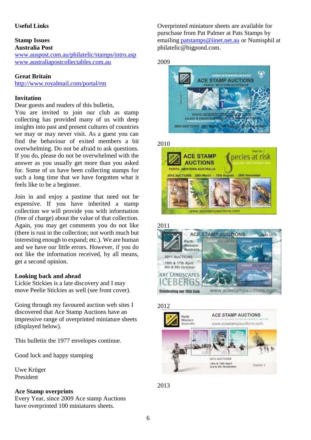#### <span id="page-5-0"></span>**Useful Links**

#### <span id="page-5-1"></span>**Stamp Issues Australia Post**

<span id="page-5-2"></span>[www.auspost.com.au/philatelic/stamps/intro.asp](http://www.auspost.com.au/philatelic/stamps/intro.asp) [www.australiapostcollectables.com.au](http://www.australiapostcollectables.com.au/)

#### <span id="page-5-3"></span>**Great Britain**

<http://www.royalmail.com/portal/rm>

#### <span id="page-5-4"></span>**Invitation**

Dear guests and readers of this bulletin,

You are invited to join our club as stamp collecting has provided many of us with deep insights into past and present cultures of countries we may or may never visit. As a guest you can find the behaviour of exited members a bit overwhelming. Do not be afraid to ask questions. If you do, please do not be overwhelmed with the answer as you usually get more than you asked for. Some of us have been collecting stamps for such a long time that we have forgotten what it feels like to be a beginner.

Join in and enjoy a pastime that need not be expensive. If you have inherited a stamp collection we will provide you with information (free of charge) about the value of that collection. Again, you may get comments you do not like (there is rust in the collection; not worth much but interesting enough to expand; etc.). We are human and we have our little errors. However, if you do not like the information received, by all means, get a second opinion.

#### <span id="page-5-5"></span>**Looking back and ahead**

Lickie Stickies is a late discovery and I may move Peelie Stickies as well (see front cover).

Going through my favoured auction web sites I discovered that Ace Stamp Auctions have an impressive range of overprinted miniature sheets (displayed below).

This bulletin the 1977 envelopes continue.

Good luck and happy stamping

Uwe Krüger President

#### <span id="page-5-6"></span>**Ace Stamp overprints**

Every Year, since 2009 Ace stamp Auctions have overprinted 100 miniatures sheets.

Overprinted miniature sheets are available for purschase from Pat Palmer at Pats Stamps by emailing [patstamps@iinet.net.au](mailto:patstamps@iinet.net.au) or Numisphil at philatelic@bigpond.com.

2009



2010





2012



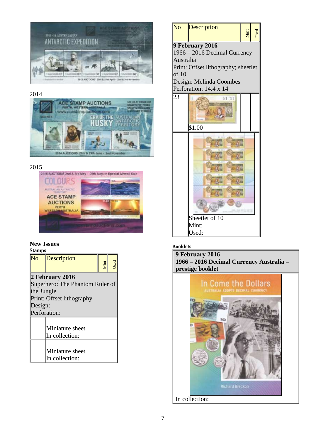

#### 2014





### <span id="page-6-0"></span>**New Issues**

<span id="page-6-1"></span>



#### <span id="page-6-2"></span>**Booklets**

<span id="page-6-3"></span>**9 February 2016 1966 – 2016 Decimal Currency Australia – prestige booklet**

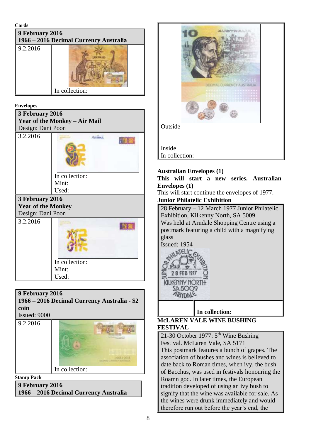<span id="page-7-0"></span>**Cards**

<span id="page-7-1"></span>

| 9 February 2016<br>1966 - 2016 Decimal Currency Australia |                |
|-----------------------------------------------------------|----------------|
| 9.2.2016                                                  | In collection: |

#### <span id="page-7-2"></span>**Envelopes**

<span id="page-7-3"></span>

| 3 February 2016           |                                      |
|---------------------------|--------------------------------------|
|                           | <b>Year of the Monkey - Air Mail</b> |
| Design: Dani Poon         |                                      |
| 3.2.2016                  | Ancwan                               |
|                           | In collection:                       |
|                           | Mint:                                |
|                           | Used:                                |
| 3 February 2016           |                                      |
| <b>Year of the Monkey</b> |                                      |
| Design: Dani Poon         |                                      |
| 3.2.2016                  |                                      |
|                           | In collection:                       |
|                           | Mint:                                |
|                           |                                      |
|                           | Used:                                |

#### <span id="page-7-4"></span>**9 February 2016**

<span id="page-7-5"></span>**1966 – 2016 Decimal Currency Australia - \$2 coin**

Issued: 9000

9.2.2016



<span id="page-7-6"></span>**Stamp Pack**

<span id="page-7-7"></span>**9 February 2016 1966 – 2016 Decimal Currency Australia**



#### <span id="page-7-8"></span>**Australian Envelopes (1)**

<span id="page-7-9"></span>**This will start a new series. Australian Envelopes (1)**

This will start continue the envelopes of 1977.

#### <span id="page-7-10"></span>**Junior Philatelic Exhibition**

28 February – 12 March 1977 Junior Philatelic Exhibition, Kilkenny North, SA 5009 Was held at Arndale Shopping Centre using a postmark featuring a child with a magnifying glass

Issued: 1954



**In collection:** 

#### <span id="page-7-11"></span>**McLAREN VALE WINE BUSHING FESTIVAL**

21-30 October 1977:  $5<sup>th</sup>$  Wine Bushing Festival. McLaren Vale, SA 5171 This postmark features a bunch of grapes. The association of bushes and wines is believed to date back to Roman times, when ivy, the bush of Bacchus, was used in festivals honouring the Roamn god. In later times, the European tradition developed of using an ivy bush to signify that the wine was available for sale. As the wines were drunk immediately and would therefore run out before the year's end, the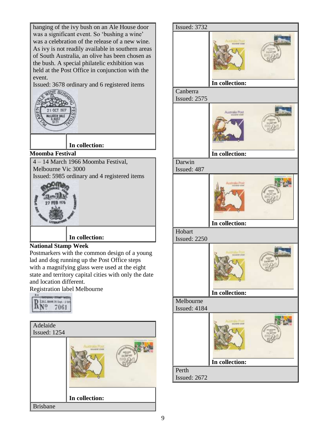hanging of the ivy bush on an Ale House door was a significant event. So 'bushing a wine' was a celebration of the release of a new wine. As ivy is not readily available in southern areas of South Australia, an olive has been chosen as the bush. A special philatelic exhibition was held at the Post Office in conjunction with the event.

Issued: 3678 ordinary and 6 registered items



**In collection:** 

### <span id="page-8-0"></span>**Moomba Festival**

4 – 14 March 1966 Moomba Festival, Melbourne Vic 3000 Issued: 5985 ordinary and 4 registered items



# **In collection:**

### <span id="page-8-1"></span>**National Stamp Week**

Postmarkers with the common design of a young lad and dog running up the Post Office steps with a magnifying glass were used at the eight state and territory capital cities with only the date and location different.

Registration label Melbourne



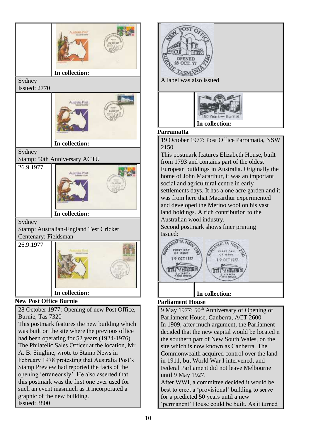





#### <span id="page-9-1"></span>**Parramatta**

19 October 1977: Post Office Parramatta, NSW 2150

This postmark features Elizabeth House, built from 1793 and contains part of the oldest European buildings in Australia. Originally the home of John Macarthur, it was an important social and agricultural centre in early settlements days. It has a one acre garden and it was from here that Macarthur experimented and developed the Merino wool on his vast land holdings. A rich contribution to the Australian wool industry.

Second postmark shows finer printing Issued:



# **In collection:**

### <span id="page-9-2"></span><span id="page-9-0"></span>**Parliament House**

9 May 1977:  $50<sup>th</sup>$  Anniversary of Opening of Parliament House, Canberra, ACT 2600 In 1909, after much argument, the Parliament decided that the new capital would be located n the southern part of New South Wales, on the site which is now known as Canberra. The Commonwealth acquired control over the land in 1911, but World War I intervened, and Federal Parliament did not leave Melbourne until 9 May 1927.

After WWI, a committee decided it would be best to erect a 'provisional' building to serve for a predicted 50 years until a new 'permanent' House could be built. As it turned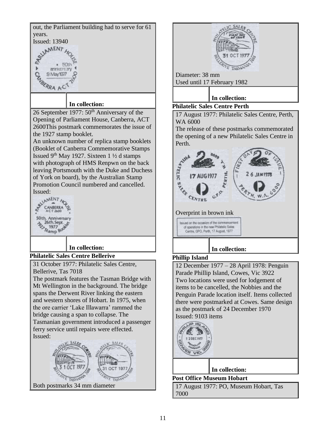<span id="page-10-0"></span>

<span id="page-10-3"></span><span id="page-10-2"></span><span id="page-10-1"></span>

SAI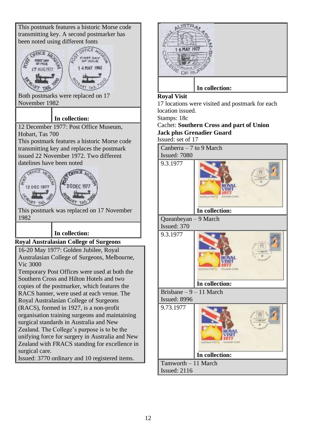This postmark features a historic Morse code transmitting key. A second postmarker has been noted using different fonts  $CFICR$ **7 AUG 1977** Both postmarks were replaced on 17 November 1982 **In collection:**  12 December 1977: Post Office Museum, Hobart, Tas 700 This postmark features a historic Morse code transmitting key and replaces the postmark issued 22 November 1972. Two different datelines have been noted 12 DEC 197 This postmark was replaced on 17 November 1982 **In collection: Royal Australasian College of Surgeons** 16-20 May 1977: Golden Jubilee, Royal Australasian College of Surgeons, Melbourne, Vic 3000 Temporary Post Offices were used at both the Southern Cross and Hilton Hotels and two copies of the postmarker, which features the RACS banner, were used at each venue. The Royal Australasian College of Surgeons (RACS), formed in 1927, is a non-profit organisation training surgeons and maintaining surgical standards in Australia and New Zealand. The College's purpose is to be the unifying force for surgery in Australia and New Zealand with FRACS standing for excellence in surgical care. Issued: 3770 ordinary and 10 registered items.



#### <span id="page-11-1"></span>**Royal Visit**

17 locations were visited and postmark for each location issued.

Stamps: 18c

Cachet: **Southern Cross and part of Union Jack plus Grenadier Guard**

Issued: set of 17

Canberra – 7 to 9 March Issued: 7080

<span id="page-11-0"></span>9.3.1977 **In collection:**  Queanbeyan – 9 March Issued: 370 9.3.1977

# **In collection:**

Brisbane – 9 – 11 March Issued: 8996

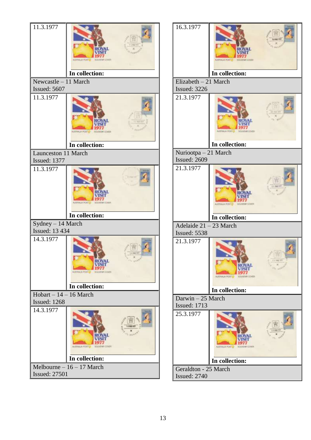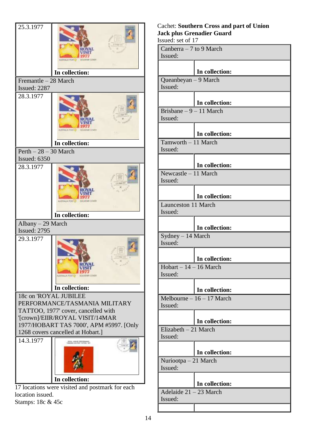

Stamps: 18c & 45c

# Cachet: **Southern Cross and part of Union Jack plus Grenadier Guard**

Issued: set of 17 Canberra – 7 to 9 March Issued: **In collection:** Queanbeyan – 9 March Issued: **In collection:** Brisbane – 9 – 11 March Issued: **In collection:** Tamworth – 11 March Issued: **In collection:** Newcastle – 11 March Issued: **In collection:** Launceston 11 March Issued: **In collection:** Sydney – 14 March Issued: **In collection:**  $Hobart - 14 - 16 March$ Issued: **In collection:** Melbourne – 16 – 17 March Issued: **In collection:** Elizabeth –  $21$  March Issued: **In collection:** Nuriootpa – 21 March Issued: **In collection:** Adelaide 21 – 23 March Issued: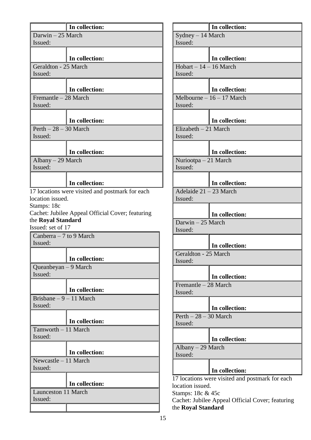|                                     | In collection:                                   |  |
|-------------------------------------|--------------------------------------------------|--|
| Darwin - 25 March                   |                                                  |  |
| Issued:                             |                                                  |  |
|                                     | In collection:                                   |  |
| Geraldton - 25 March                |                                                  |  |
| Issued:                             |                                                  |  |
|                                     | In collection:                                   |  |
| Fremantle - 28 March                |                                                  |  |
| Issued:                             |                                                  |  |
|                                     |                                                  |  |
| Perth $-28-30$ March                | In collection:                                   |  |
| Issued:                             |                                                  |  |
|                                     |                                                  |  |
|                                     | In collection:                                   |  |
| Albany $-29$ March<br>Issued:       |                                                  |  |
|                                     |                                                  |  |
|                                     | In collection:                                   |  |
|                                     | 17 locations were visited and postmark for each  |  |
| location issued.                    |                                                  |  |
| Stamps: 18c                         |                                                  |  |
| the Royal Standard                  | Cachet: Jubilee Appeal Official Cover; featuring |  |
| Issued: set of 17                   |                                                  |  |
| Canberra $-7$ to 9 March            |                                                  |  |
| Issued:                             |                                                  |  |
|                                     | In collection:                                   |  |
| Queanbeyan – 9 March                |                                                  |  |
| Issued:                             |                                                  |  |
|                                     |                                                  |  |
|                                     | In collection:                                   |  |
| Brisbane $-9 - 11$ March<br>Issued: |                                                  |  |
|                                     |                                                  |  |
|                                     | In collection:                                   |  |
| Tamworth - 11 March                 |                                                  |  |
| Issued:                             |                                                  |  |
|                                     | In collection:                                   |  |
| Newcastle $-11$ March               |                                                  |  |
|                                     |                                                  |  |
| Issued:                             |                                                  |  |
|                                     |                                                  |  |
|                                     | In collection:                                   |  |
| <b>Launceston 11 March</b>          |                                                  |  |
| Issued:                             |                                                  |  |

|                                  | In collection:                                  |  |
|----------------------------------|-------------------------------------------------|--|
| Sydney - 14 March                |                                                 |  |
| Issued:                          |                                                 |  |
|                                  | In collection:                                  |  |
| $Hobart - 14 - 16 March$         |                                                 |  |
| Issued:                          |                                                 |  |
|                                  |                                                 |  |
|                                  | In collection:                                  |  |
|                                  | Melbourne $-16 - 17$ March                      |  |
| Issued:                          |                                                 |  |
|                                  |                                                 |  |
|                                  | In collection:                                  |  |
| Elizabeth $-21$ March<br>Issued: |                                                 |  |
|                                  |                                                 |  |
|                                  | In collection:                                  |  |
| Nuriootpa $-21$ March            |                                                 |  |
| Issued:                          |                                                 |  |
|                                  |                                                 |  |
|                                  | In collection:                                  |  |
| Adelaide 21 - 23 March           |                                                 |  |
| Issued:                          |                                                 |  |
|                                  | In collection:                                  |  |
| Darwin - 25 March<br>Issued:     |                                                 |  |
|                                  |                                                 |  |
|                                  | In collection:                                  |  |
| Geraldton - 25 March             |                                                 |  |
| Issued:                          |                                                 |  |
|                                  | In collection:                                  |  |
| Fremantle - 28 March             |                                                 |  |
| Issued:                          |                                                 |  |
|                                  |                                                 |  |
|                                  | In collection:                                  |  |
| $Perth - 28 - 30$ March          |                                                 |  |
| Issued:                          |                                                 |  |
|                                  | In collection:                                  |  |
|                                  |                                                 |  |
| Albany – 29 March<br>Issued:     |                                                 |  |
|                                  |                                                 |  |
|                                  | In collection:                                  |  |
|                                  | 17 locations were visited and postmark for each |  |

location issued.

Stamps: 18c & 45c Cachet: Jubilee Appeal Official Cover; featuring the **Royal Standard**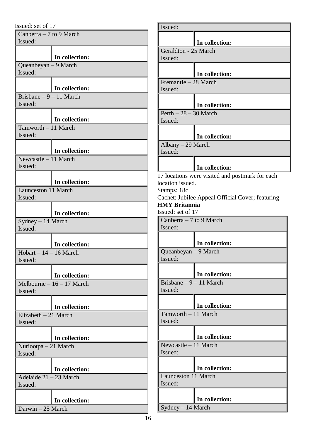| Issued: set of 17                   |                                              |
|-------------------------------------|----------------------------------------------|
| Canberra $-7$ to 9 March            |                                              |
| Issued:                             |                                              |
|                                     | In collection:                               |
| Queanbeyan - 9 March                |                                              |
| Issued:                             |                                              |
|                                     | In collection:                               |
| Brisbane $-9 - 11$ March            |                                              |
| Issued:                             |                                              |
|                                     | In collection:                               |
| Tamworth - 11 March                 |                                              |
| Issued:                             |                                              |
|                                     | In collection:                               |
| Newcastle - 11 March                |                                              |
| Issued:                             |                                              |
|                                     | In collection:                               |
| <b>Launceston 11 March</b>          |                                              |
| Issued:                             |                                              |
|                                     | In collection:                               |
| $Sydney - 14 March$                 |                                              |
| Issued:                             |                                              |
|                                     | In collection:                               |
| $Hobart - 14 - 16 March$            |                                              |
| Issued:                             |                                              |
|                                     |                                              |
|                                     | In collection:<br>Melbourne $-16 - 17$ March |
| Issued:                             |                                              |
|                                     |                                              |
| Elizabeth $-21$ March               | In collection:                               |
| Issued:                             |                                              |
|                                     |                                              |
| Nuriootpa $-21$ March               | In collection:                               |
| Issued:                             |                                              |
|                                     |                                              |
|                                     | In collection:                               |
| Adelaide $21 - 23$ March<br>Issued: |                                              |
|                                     |                                              |
|                                     | In collection:                               |
| Darwin - 25 March                   |                                              |

| Issued:                                   |                                                  |  |
|-------------------------------------------|--------------------------------------------------|--|
|                                           | In collection:                                   |  |
| Geraldton - 25 March                      |                                                  |  |
| Issued:                                   |                                                  |  |
|                                           |                                                  |  |
|                                           | In collection:                                   |  |
| Fremantle - 28 March<br>Issued:           |                                                  |  |
|                                           |                                                  |  |
|                                           | In collection:                                   |  |
| $Perth - 28 - 30$ March<br>Issued:        |                                                  |  |
|                                           | In collection:                                   |  |
| Albany - 29 March                         |                                                  |  |
| Issued:                                   |                                                  |  |
|                                           | In collection:                                   |  |
|                                           | 17 locations were visited and postmark for each  |  |
| location issued.                          |                                                  |  |
| Stamps: 18c                               |                                                  |  |
|                                           | Cachet: Jubilee Appeal Official Cover; featuring |  |
| <b>HMY Britannia</b><br>Issued: set of 17 |                                                  |  |
| Canberra $-7$ to 9 March                  |                                                  |  |
| Issued:                                   |                                                  |  |
|                                           | In collection:                                   |  |
| Queanbeyan - 9 March                      |                                                  |  |
| Issued:                                   |                                                  |  |
|                                           | In collection:                                   |  |
| Brisbane $-9 - 11$ March                  |                                                  |  |
| Issued:                                   |                                                  |  |
|                                           | In collection:                                   |  |
| Tamworth - 11 March                       |                                                  |  |
| Issued:                                   |                                                  |  |
|                                           | In collection:                                   |  |
| Newcastle $-11$ March                     |                                                  |  |
| Issued:                                   |                                                  |  |
|                                           | In collection:                                   |  |
| <b>Launceston 11 March</b>                |                                                  |  |
| Issued:                                   |                                                  |  |
|                                           | In collection:                                   |  |
| Sydney - 14 March                         |                                                  |  |
|                                           |                                                  |  |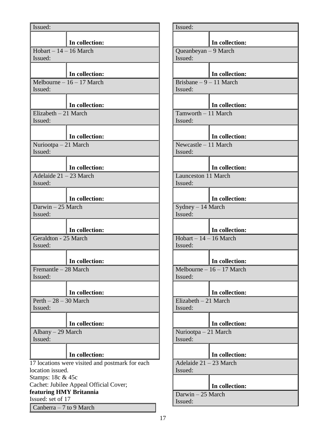| Issued:                                         |                            |  |  |
|-------------------------------------------------|----------------------------|--|--|
|                                                 |                            |  |  |
|                                                 | In collection:             |  |  |
| $Hobart - 14 - 16 March$<br>Issued:             |                            |  |  |
|                                                 |                            |  |  |
|                                                 | In collection:             |  |  |
|                                                 | Melbourne $-16 - 17$ March |  |  |
| Issued:                                         |                            |  |  |
|                                                 |                            |  |  |
|                                                 | In collection:             |  |  |
| Elizabeth $-21$ March<br>Issued:                |                            |  |  |
|                                                 |                            |  |  |
|                                                 | In collection:             |  |  |
| Nuriootpa $-21$ March                           |                            |  |  |
| Issued:                                         |                            |  |  |
|                                                 |                            |  |  |
|                                                 | In collection:             |  |  |
| Adelaide 21 - 23 March                          |                            |  |  |
| Issued:                                         |                            |  |  |
|                                                 | In collection:             |  |  |
| Darwin - 25 March                               |                            |  |  |
| Issued:                                         |                            |  |  |
|                                                 |                            |  |  |
|                                                 | In collection:             |  |  |
| Geraldton - 25 March                            |                            |  |  |
| Issued:                                         |                            |  |  |
|                                                 | In collection:             |  |  |
| Fremantle - 28 March                            |                            |  |  |
| Issued:                                         |                            |  |  |
|                                                 |                            |  |  |
|                                                 | In collection:             |  |  |
| Perth $-28-30$ March<br>Issued:                 |                            |  |  |
|                                                 |                            |  |  |
|                                                 | In collection:             |  |  |
| Albany - 29 March                               |                            |  |  |
| Issued:                                         |                            |  |  |
|                                                 |                            |  |  |
|                                                 | In collection:             |  |  |
| 17 locations were visited and postmark for each |                            |  |  |
| location issued.<br>Stamps: 18c & 45c           |                            |  |  |
| Cachet: Jubilee Appeal Official Cover;          |                            |  |  |
| featuring HMY Britannia                         |                            |  |  |
| Issued: set of 17                               |                            |  |  |
|                                                 | Canberra - 7 to 9 March    |  |  |

| Issued:                         |                            |  |
|---------------------------------|----------------------------|--|
|                                 |                            |  |
|                                 | In collection:             |  |
| Queanbeyan - 9 March<br>Issued: |                            |  |
|                                 |                            |  |
|                                 | In collection:             |  |
| Brisbane - 9 - 11 March         |                            |  |
| Issued:                         |                            |  |
|                                 |                            |  |
|                                 | In collection:             |  |
| Tamworth - 11 March<br>Issued:  |                            |  |
|                                 |                            |  |
|                                 | In collection:             |  |
| Newcastle - 11 March            |                            |  |
| Issued:                         |                            |  |
|                                 |                            |  |
| <b>Launceston 11 March</b>      | In collection:             |  |
| Issued:                         |                            |  |
|                                 |                            |  |
|                                 | In collection:             |  |
| Sydney - 14 March               |                            |  |
| Issued:                         |                            |  |
|                                 | In collection:             |  |
| $Hobart - 14 - 16 March$        |                            |  |
| Issued:                         |                            |  |
|                                 |                            |  |
|                                 | In collection:             |  |
| Issued:                         | Melbourne $-16 - 17$ March |  |
|                                 |                            |  |
|                                 | In collection:             |  |
| $Elizabeth-21 March$            |                            |  |
| Issued:                         |                            |  |
|                                 | In collection:             |  |
| Nuriootpa – 21 March            |                            |  |
| Issued:                         |                            |  |
|                                 |                            |  |
|                                 | In collection:             |  |
| Adelaide 21 - 23 March          |                            |  |
| Issued:                         |                            |  |
|                                 | In collection:             |  |
| Darwin - 25 March               |                            |  |
| Issued:                         |                            |  |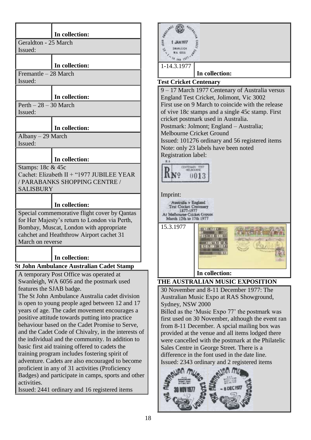|                                                                                                    | In collection:                                  |  |
|----------------------------------------------------------------------------------------------------|-------------------------------------------------|--|
| Geraldton - 25 March                                                                               |                                                 |  |
| Issued:                                                                                            |                                                 |  |
|                                                                                                    |                                                 |  |
|                                                                                                    | In collection:                                  |  |
| Fremantle - 28 March                                                                               |                                                 |  |
| Issued:                                                                                            |                                                 |  |
|                                                                                                    |                                                 |  |
| In collection:                                                                                     |                                                 |  |
| Perth $-28-30$ March<br>Issued:                                                                    |                                                 |  |
|                                                                                                    |                                                 |  |
|                                                                                                    | In collection:                                  |  |
| Albany - 29 March                                                                                  |                                                 |  |
| Issued:                                                                                            |                                                 |  |
|                                                                                                    | In collection:                                  |  |
| Stamps: 18c & 45c                                                                                  |                                                 |  |
|                                                                                                    | Cachet: Elizabeth II + "1977 JUBILEE YEAR       |  |
|                                                                                                    | / PARABANKS SHOPPING CENTRE /                   |  |
| <b>SALISBURY</b>                                                                                   |                                                 |  |
|                                                                                                    |                                                 |  |
|                                                                                                    | In collection:                                  |  |
| Special commemorative flight cover by Qantas                                                       |                                                 |  |
| for Her Majesty's return to London via Perth,                                                      |                                                 |  |
| Bombay, Muscat, London with appropriate                                                            |                                                 |  |
| cahchet and Heaththrow Airport cachet 31<br>March on reverse                                       |                                                 |  |
|                                                                                                    |                                                 |  |
|                                                                                                    | In collection:                                  |  |
|                                                                                                    | <b>St John Ambulance Australian Cadet Stamp</b> |  |
|                                                                                                    | A temporary Post Office was operated at         |  |
| Swanleigh, WA 6056 and the postmark used                                                           |                                                 |  |
| features the SJAB badge.                                                                           |                                                 |  |
| The St John Ambulance Australia cadet division                                                     |                                                 |  |
| is open to young people aged between 12 and 17                                                     |                                                 |  |
| years of age. The cadet movement encourages a<br>positive attitude towards putting into practice   |                                                 |  |
| behaviour based on the Cadet Promise to Serve,                                                     |                                                 |  |
| and the Cadet Code of Chivalry, in the interests of                                                |                                                 |  |
| the individual and the community. In addition to                                                   |                                                 |  |
| basic first aid training offered to cadets the                                                     |                                                 |  |
| training program includes fostering spirit of                                                      |                                                 |  |
| adventure. Cadets are also encouraged to become<br>proficient in any of 31 activities (Proficiency |                                                 |  |
| Badges) and participate in camps, sports and other                                                 |                                                 |  |
| activities.                                                                                        |                                                 |  |
|                                                                                                    | Issued: 2441 ordinary and 16 registered items   |  |



<span id="page-17-1"></span>First use on 9 March to coincide with the release of vive 18c stamps and a single 45c stamp. First cricket postmark used in Australia. Postmark: Jolmont; England – Australia; Melbourne Cricket Ground Issued: 101276 ordinary and 56 registered items Note: only 23 labels have been noted Registration label:



#### Imprint:

Australia v England Test Cricket Centenary  $-1877 - 1977$ At Melbourne Cricket Ground





**In collection:** 

# <span id="page-17-2"></span><span id="page-17-0"></span>**THE AUSTRALIAN MUSIC EXPOSITION**

30 November and 8-11 December 1977: The Australian Music Expo at RAS Showground, Sydney, NSW 2000

Billed as the 'Music Expo 77' the postmark was first used on 30 November, although the event ran from 8-11 December. A spcial mailing box was provided at the venue and all items lodged there were cancelled with the postmark at the Philatelic Sales Centre in George Street. There is a difference in the font used in the date line. Issued: 2343 ordinary and 2 registered items

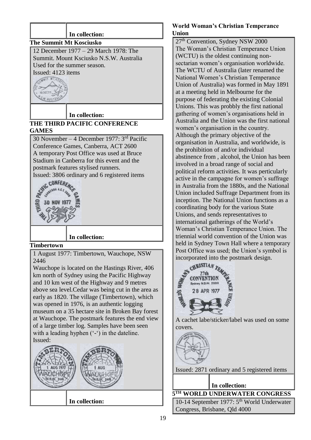<span id="page-18-1"></span><span id="page-18-0"></span>

**In collection:**

#### <span id="page-18-3"></span>**World Woman's Christian Temperance Union**

27<sup>th</sup> Convention, Sydney NSW 2000 The Woman's Christian Temperance Union (WCTU) is the oldest continuing nonsectarian women's organisation worldwide. The WCTU of Australia (later renamed the National Women's Christian Temperance Union of Australia) was formed in May 1891 at a meeting held in Melbourne for the purpose of federating the existing Colonial Unions. This was probbly the first national gathering of women's organisations held in Australia and the Union was the first national women's organisation in the country. Although the primary objective of the organisation in Australia, and worldwide, is the prohibition of and/or individual abstinence from , alcohol, the Union has been involved in a broad range of social and political reform activities. It was perticularly active in the campagne for women's suffrage in Australia from the 1880s, and the National Union included Suffrage Department from its inception. The National Union functions as a coordinating body for the various State Unions, and sends representatives to international gatherings of the World's Woman's Christian Temperance Union. The triennial world convention of the Union was held in Sydney Town Hall where a temporary Post Office was used; the Union's symbol is incorporated into the postmark design.

<span id="page-18-2"></span>

A cachet labe/sticker/label was used on some covers.

Issued: 2871 ordinary and 5 registered items

**In collection:**

<span id="page-18-4"></span>**5 TH WORLD UNDERWATER CONGRESS** 10-14 September 1977: 5<sup>th</sup> World Underwater Congress, Brisbane, Qld 4000

19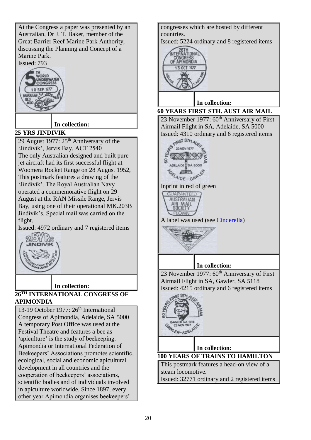At the Congress a paper was presented by an Australian, Dr J. T. Baker, member of the Great Barrier Reef Marine Park Authority, discussing the Planning and Concept of a Marine Park. Issued: 793



# **In collection:**

#### <span id="page-19-0"></span>**25 YRS JINDIVIK**

29 August 1977:  $25<sup>th</sup>$  Anniversary of the 'Jindivik', Jervis Bay, ACT 2540 The only Australian designed and built pure jet aircraft had its first successful flight at Woomera Rocket Range on 28 August 1952, This postmark features a drawing of the 'Jindivik'. The Royal Australian Navy operated a commemorative flight on 29 August at the RAN Missile Range, Jervis Bay, using one of their operational MK.203B Jindivik's. Special mail was carried on the flight.

Issued: 4972 ordinary and 7 registered items



#### <span id="page-19-3"></span>**In collection:**

## <span id="page-19-1"></span>**26TH INTERNATIONAL CONGRESS OF APIMONDIA**

13-19 October 1977: 26<sup>th</sup> International Congress of Apimondia, Adelaide, SA 5000 A temporary Post Office was used at the Festival Theatre and features a bee as 'apiculture' is the study of beekeeping. Apimondia or International Federation of Beekeepers' Associations promotes scientific, ecological, social and economic apicultural development in all countries and the cooperation of beekeepers' associations, scientific bodies and of individuals involved in apiculture worldwide. Since 1897, every other year Apimondia organises beekeepers'

<span id="page-19-2"></span>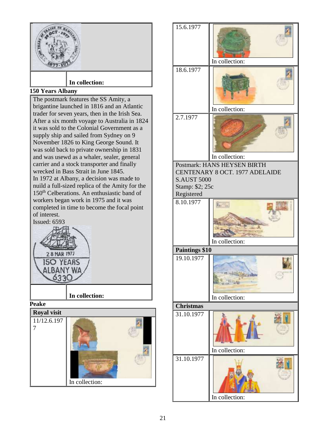<span id="page-20-2"></span><span id="page-20-1"></span><span id="page-20-0"></span>

<span id="page-20-4"></span><span id="page-20-3"></span>